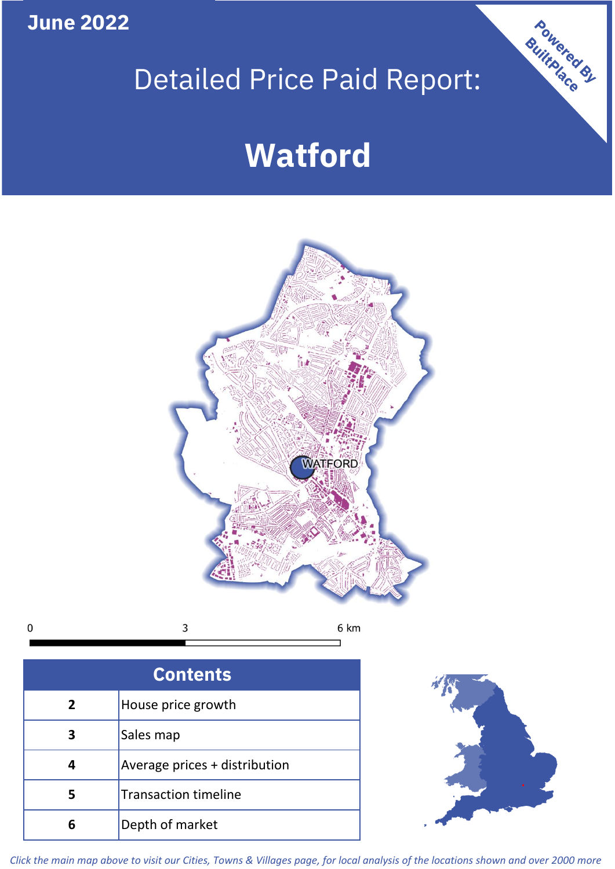**June 2022**

## Detailed Price Paid Report:

# **Watford**



 $\mathbf 0$ 3 6 km

| <b>Contents</b> |                               |  |  |
|-----------------|-------------------------------|--|--|
| 2               | House price growth            |  |  |
| 3               | Sales map                     |  |  |
|                 | Average prices + distribution |  |  |
| 5               | <b>Transaction timeline</b>   |  |  |
|                 | Depth of market               |  |  |



Powered By

*Click the main map above to visit our Cities, Towns & Villages page, for local analysis of the locations shown and over 2000 more*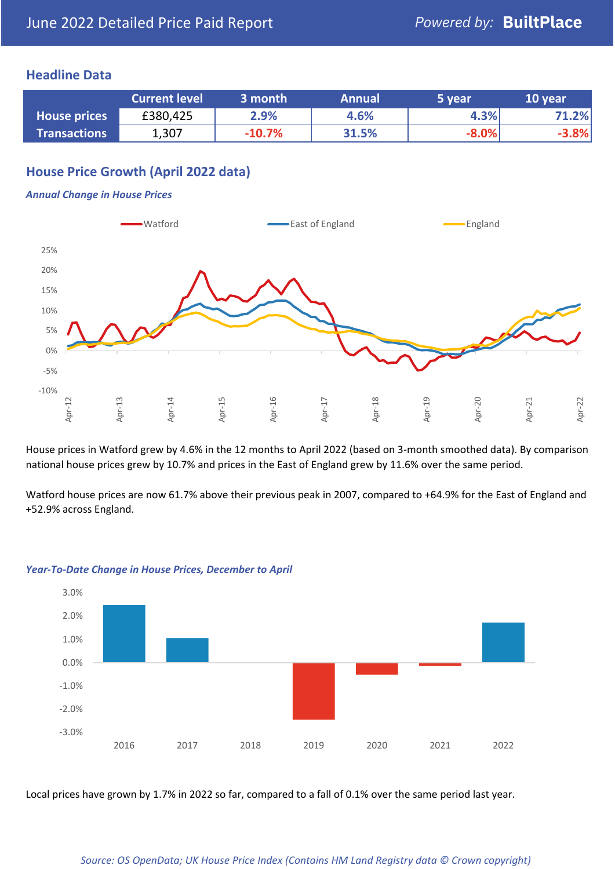#### **Headline Data**

|                     | <b>Current level</b> | 3 month  | <b>Annual</b> | 5 year  | 10 year |
|---------------------|----------------------|----------|---------------|---------|---------|
| <b>House prices</b> | £380,425             | 2.9%     | 4.6%          | 4.3%    | .2%     |
| <b>Transactions</b> | 1,307                | $-10.7%$ | 31.5%         | $-8.0%$ | $-3.8%$ |

#### **House Price Growth (April 2022 data)**

#### *Annual Change in House Prices*



House prices in Watford grew by 4.6% in the 12 months to April 2022 (based on 3-month smoothed data). By comparison national house prices grew by 10.7% and prices in the East of England grew by 11.6% over the same period.

Watford house prices are now 61.7% above their previous peak in 2007, compared to +64.9% for the East of England and +52.9% across England.



#### *Year-To-Date Change in House Prices, December to April*

Local prices have grown by 1.7% in 2022 so far, compared to a fall of 0.1% over the same period last year.

#### *Source: OS OpenData; UK House Price Index (Contains HM Land Registry data © Crown copyright)*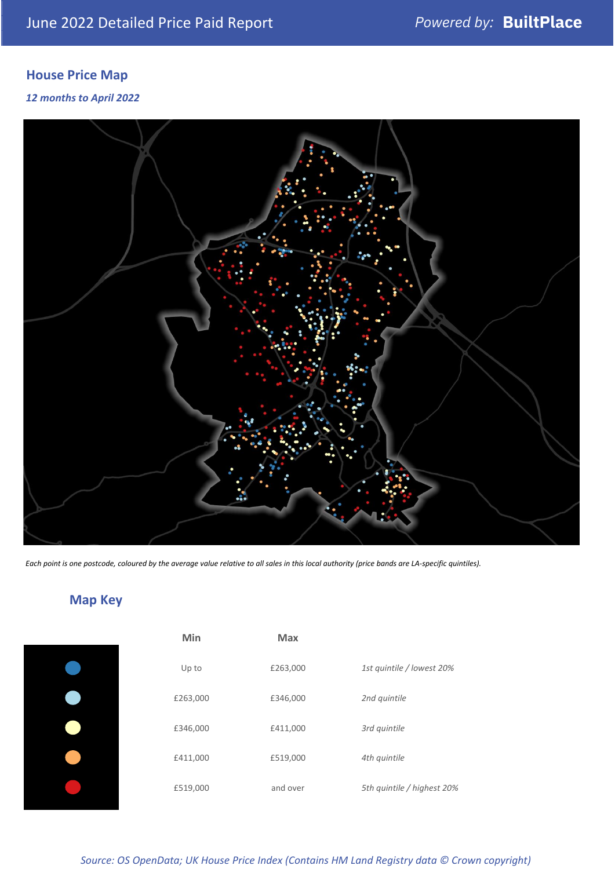## **House Price Map**

#### *12 months to April 2022*



*Each point is one postcode, coloured by the average value relative to all sales in this local authority (price bands are LA-specific quintiles).*

**Map Key**

| Min      | <b>Max</b> |                            |
|----------|------------|----------------------------|
| Up to    | £263,000   | 1st quintile / lowest 20%  |
| £263,000 | £346,000   | 2nd quintile               |
| £346,000 | £411,000   | 3rd quintile               |
| £411,000 | £519,000   | 4th quintile               |
| £519,000 | and over   | 5th quintile / highest 20% |

#### *Source: OS OpenData; UK House Price Index (Contains HM Land Registry data © Crown copyright)*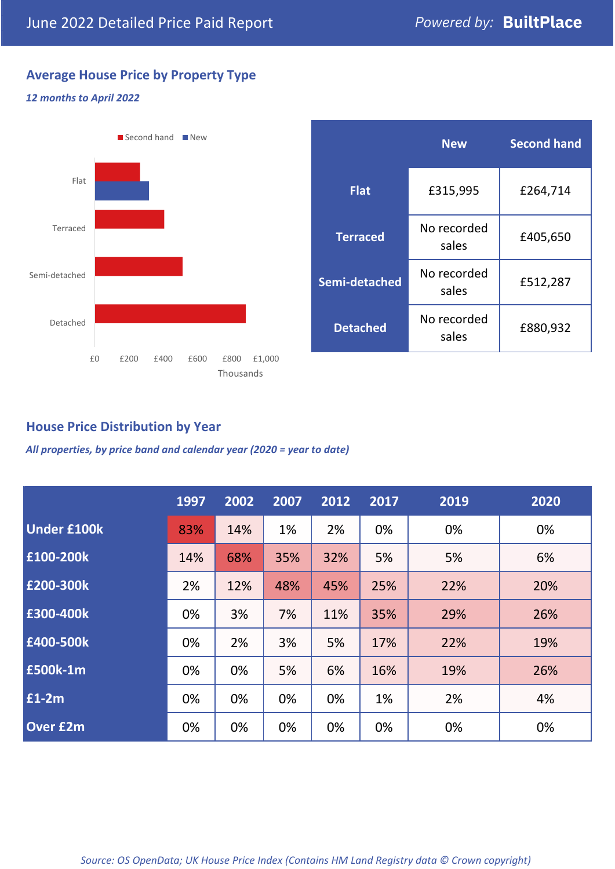### **Average House Price by Property Type**

#### *12 months to April 2022*



|                 | <b>New</b>           | <b>Second hand</b> |  |  |
|-----------------|----------------------|--------------------|--|--|
| <b>Flat</b>     | £315,995             | £264,714           |  |  |
| <b>Terraced</b> | No recorded<br>sales | £405,650           |  |  |
| Semi-detached   | No recorded<br>sales | £512,287           |  |  |
| <b>Detached</b> | No recorded<br>sales | £880,932           |  |  |

#### **House Price Distribution by Year**

*All properties, by price band and calendar year (2020 = year to date)*

|                    | 1997 | 2002 | 2007 | 2012 | 2017 | 2019 | 2020 |
|--------------------|------|------|------|------|------|------|------|
| <b>Under £100k</b> | 83%  | 14%  | 1%   | 2%   | 0%   | 0%   | 0%   |
| £100-200k          | 14%  | 68%  | 35%  | 32%  | 5%   | 5%   | 6%   |
| E200-300k          | 2%   | 12%  | 48%  | 45%  | 25%  | 22%  | 20%  |
| £300-400k          | 0%   | 3%   | 7%   | 11%  | 35%  | 29%  | 26%  |
| £400-500k          | 0%   | 2%   | 3%   | 5%   | 17%  | 22%  | 19%  |
| <b>£500k-1m</b>    | 0%   | 0%   | 5%   | 6%   | 16%  | 19%  | 26%  |
| £1-2m              | 0%   | 0%   | 0%   | 0%   | 1%   | 2%   | 4%   |
| <b>Over £2m</b>    | 0%   | 0%   | 0%   | 0%   | 0%   | 0%   | 0%   |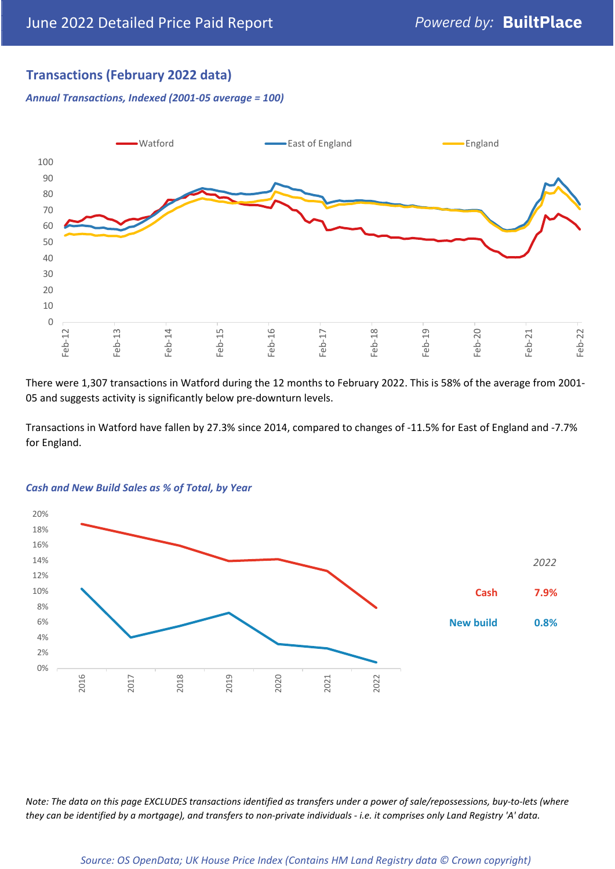### **Transactions (February 2022 data)**

*Annual Transactions, Indexed (2001-05 average = 100)*



There were 1,307 transactions in Watford during the 12 months to February 2022. This is 58% of the average from 2001- 05 and suggests activity is significantly below pre-downturn levels.

Transactions in Watford have fallen by 27.3% since 2014, compared to changes of -11.5% for East of England and -7.7% for England.



#### *Cash and New Build Sales as % of Total, by Year*

*Note: The data on this page EXCLUDES transactions identified as transfers under a power of sale/repossessions, buy-to-lets (where they can be identified by a mortgage), and transfers to non-private individuals - i.e. it comprises only Land Registry 'A' data.*